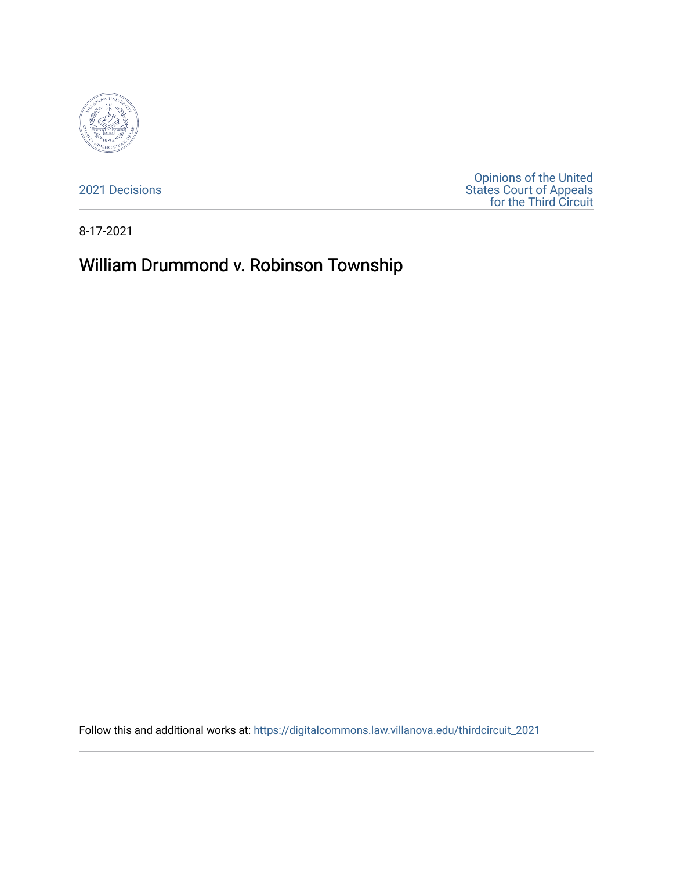

[2021 Decisions](https://digitalcommons.law.villanova.edu/thirdcircuit_2021)

[Opinions of the United](https://digitalcommons.law.villanova.edu/thirdcircuit)  [States Court of Appeals](https://digitalcommons.law.villanova.edu/thirdcircuit)  [for the Third Circuit](https://digitalcommons.law.villanova.edu/thirdcircuit) 

8-17-2021

# William Drummond v. Robinson Township

Follow this and additional works at: [https://digitalcommons.law.villanova.edu/thirdcircuit\\_2021](https://digitalcommons.law.villanova.edu/thirdcircuit_2021?utm_source=digitalcommons.law.villanova.edu%2Fthirdcircuit_2021%2F667&utm_medium=PDF&utm_campaign=PDFCoverPages)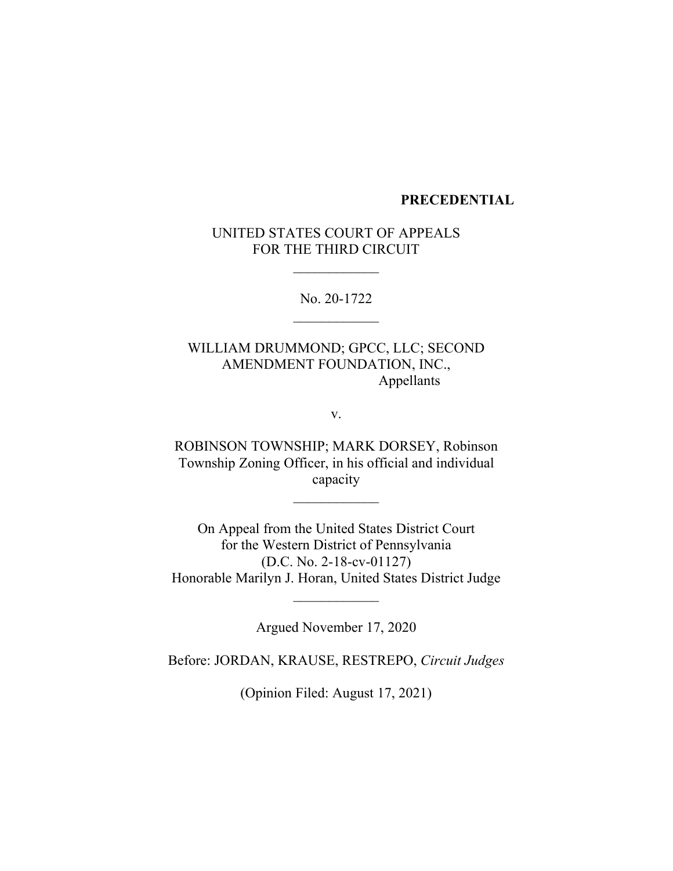#### **PRECEDENTIAL**

## UNITED STATES COURT OF APPEALS FOR THE THIRD CIRCUIT

 $\frac{1}{2}$ 

No. 20-1722  $\overline{\phantom{a}}$ 

WILLIAM DRUMMOND; GPCC, LLC; SECOND AMENDMENT FOUNDATION, INC., Appellants

v.

ROBINSON TOWNSHIP; MARK DORSEY, Robinson Township Zoning Officer, in his official and individual capacity

 $\frac{1}{2}$ 

On Appeal from the United States District Court for the Western District of Pennsylvania (D.C. No. 2-18-cv-01127) Honorable Marilyn J. Horan, United States District Judge

Argued November 17, 2020

 $\frac{1}{2}$ 

Before: JORDAN, KRAUSE, RESTREPO, *Circuit Judges*

(Opinion Filed: August 17, 2021)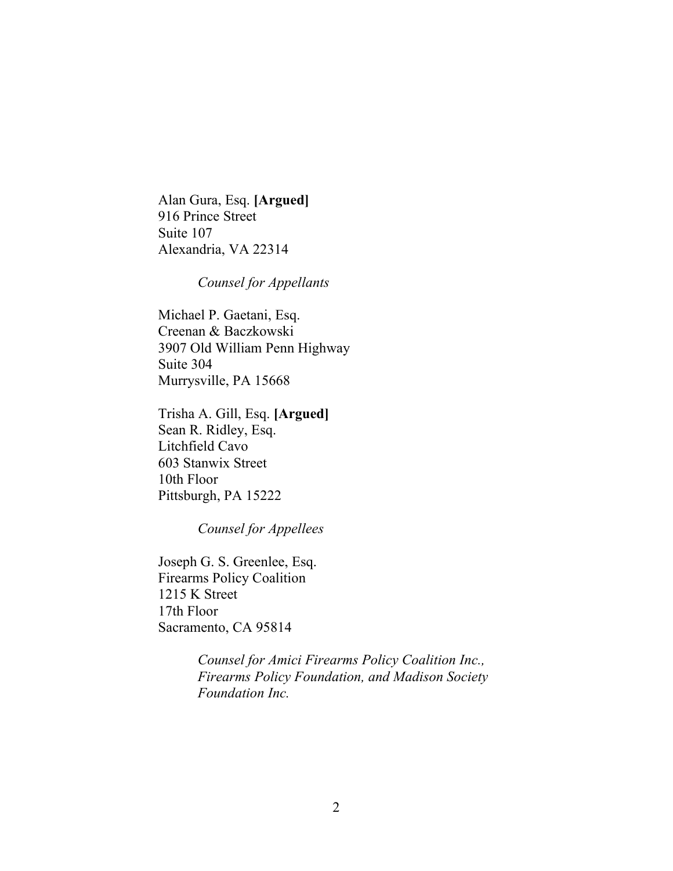Alan Gura, Esq. **[Argued]** 916 Prince Street Suite 107 Alexandria, VA 22314

*Counsel for Appellants*

Michael P. Gaetani, Esq. Creenan & Baczkowski 3907 Old William Penn Highway Suite 304 Murrysville, PA 15668

Trisha A. Gill, Esq. **[Argued]** Sean R. Ridley, Esq. Litchfield Cavo 603 Stanwix Street 10th Floor Pittsburgh, PA 15222

*Counsel for Appellees*

Joseph G. S. Greenlee, Esq. Firearms Policy Coalition 1215 K Street 17th Floor Sacramento, CA 95814

> *Counsel for Amici Firearms Policy Coalition Inc., Firearms Policy Foundation, and Madison Society Foundation Inc.*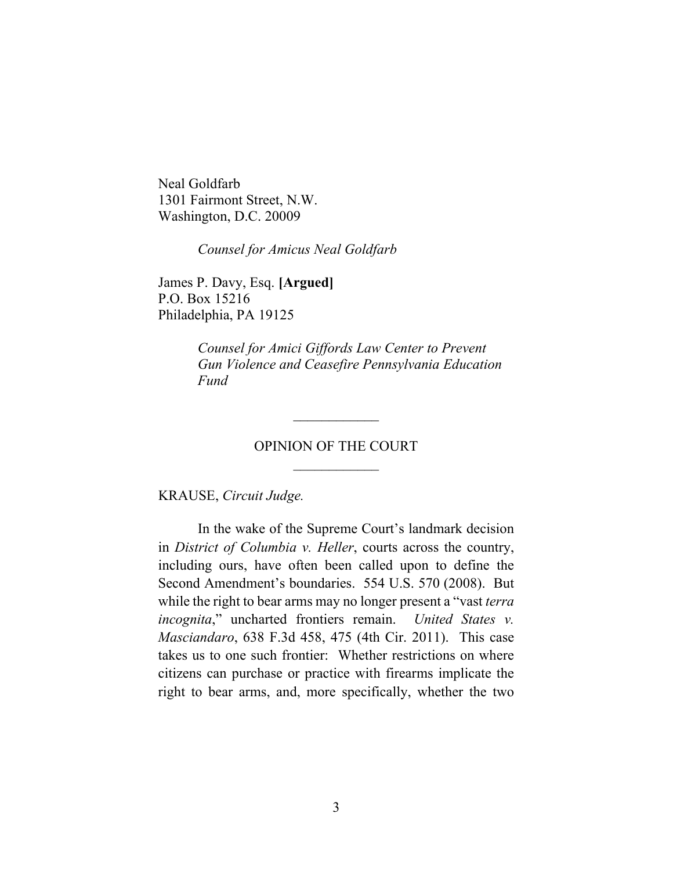Neal Goldfarb 1301 Fairmont Street, N.W. Washington, D.C. 20009

*Counsel for Amicus Neal Goldfarb*

James P. Davy, Esq. **[Argued]** P.O. Box 15216 Philadelphia, PA 19125

> *Counsel for Amici Giffords Law Center to Prevent Gun Violence and Ceasefire Pennsylvania Education Fund*

# OPINION OF THE COURT  $\frac{1}{2}$

 $\overline{\phantom{a}}$ 

KRAUSE, *Circuit Judge.*

In the wake of the Supreme Court's landmark decision in *District of Columbia v. Heller*, courts across the country, including ours, have often been called upon to define the Second Amendment's boundaries. 554 U.S. 570 (2008). But while the right to bear arms may no longer present a "vast *terra incognita*," uncharted frontiers remain. *United States v. Masciandaro*, 638 F.3d 458, 475 (4th Cir. 2011). This case takes us to one such frontier: Whether restrictions on where citizens can purchase or practice with firearms implicate the right to bear arms, and, more specifically, whether the two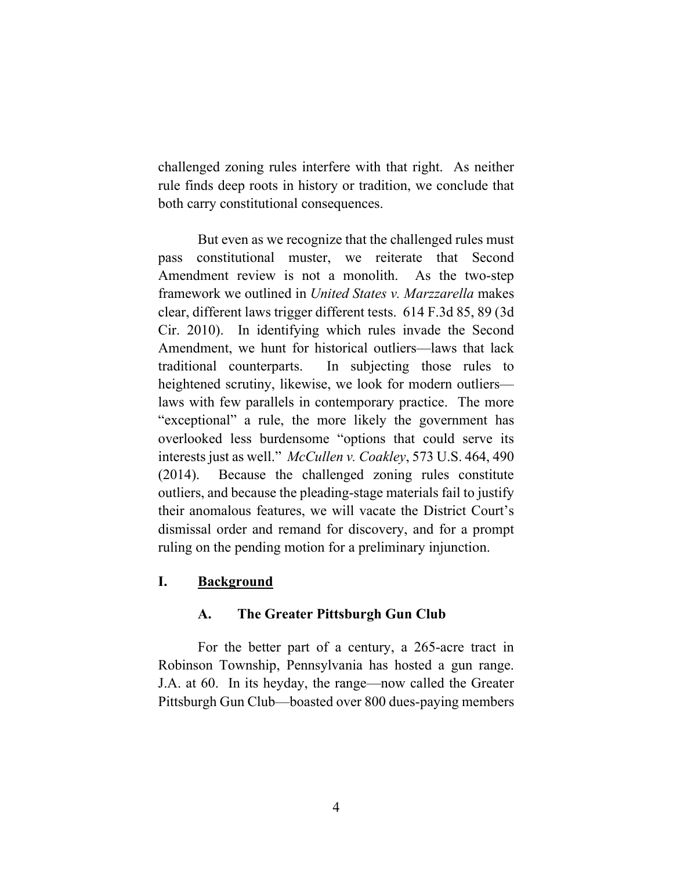challenged zoning rules interfere with that right. As neither rule finds deep roots in history or tradition, we conclude that both carry constitutional consequences.

But even as we recognize that the challenged rules must pass constitutional muster, we reiterate that Second Amendment review is not a monolith. As the two-step framework we outlined in *United States v. Marzzarella* makes clear, different laws trigger different tests. 614 F.3d 85, 89 (3d Cir. 2010). In identifying which rules invade the Second Amendment, we hunt for historical outliers—laws that lack traditional counterparts. In subjecting those rules to heightened scrutiny, likewise, we look for modern outliers laws with few parallels in contemporary practice. The more "exceptional" a rule, the more likely the government has overlooked less burdensome "options that could serve its interests just as well." *McCullen v. Coakley*, 573 U.S. 464, 490 (2014). Because the challenged zoning rules constitute outliers, and because the pleading-stage materials fail to justify their anomalous features, we will vacate the District Court's dismissal order and remand for discovery, and for a prompt ruling on the pending motion for a preliminary injunction.

# **I. Background**

# **A. The Greater Pittsburgh Gun Club**

For the better part of a century, a 265-acre tract in Robinson Township, Pennsylvania has hosted a gun range. J.A. at 60. In its heyday, the range—now called the Greater Pittsburgh Gun Club—boasted over 800 dues-paying members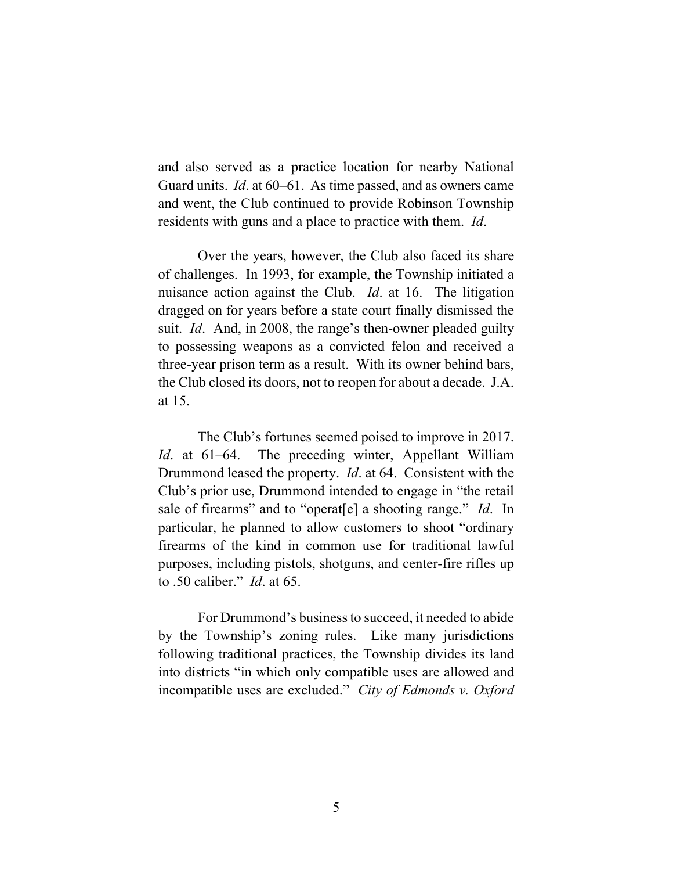and also served as a practice location for nearby National Guard units. *Id*. at 60–61. As time passed, and as owners came and went, the Club continued to provide Robinson Township residents with guns and a place to practice with them. *Id*.

Over the years, however, the Club also faced its share of challenges. In 1993, for example, the Township initiated a nuisance action against the Club. *Id*. at 16. The litigation dragged on for years before a state court finally dismissed the suit. *Id*. And, in 2008, the range's then-owner pleaded guilty to possessing weapons as a convicted felon and received a three-year prison term as a result. With its owner behind bars, the Club closed its doors, not to reopen for about a decade. J.A. at 15.

The Club's fortunes seemed poised to improve in 2017. *Id*. at 61–64. The preceding winter, Appellant William Drummond leased the property. *Id*. at 64. Consistent with the Club's prior use, Drummond intended to engage in "the retail sale of firearms" and to "operat[e] a shooting range." *Id*. In particular, he planned to allow customers to shoot "ordinary firearms of the kind in common use for traditional lawful purposes, including pistols, shotguns, and center-fire rifles up to .50 caliber." *Id*. at 65.

For Drummond's business to succeed, it needed to abide by the Township's zoning rules. Like many jurisdictions following traditional practices, the Township divides its land into districts "in which only compatible uses are allowed and incompatible uses are excluded." *City of Edmonds v. Oxford*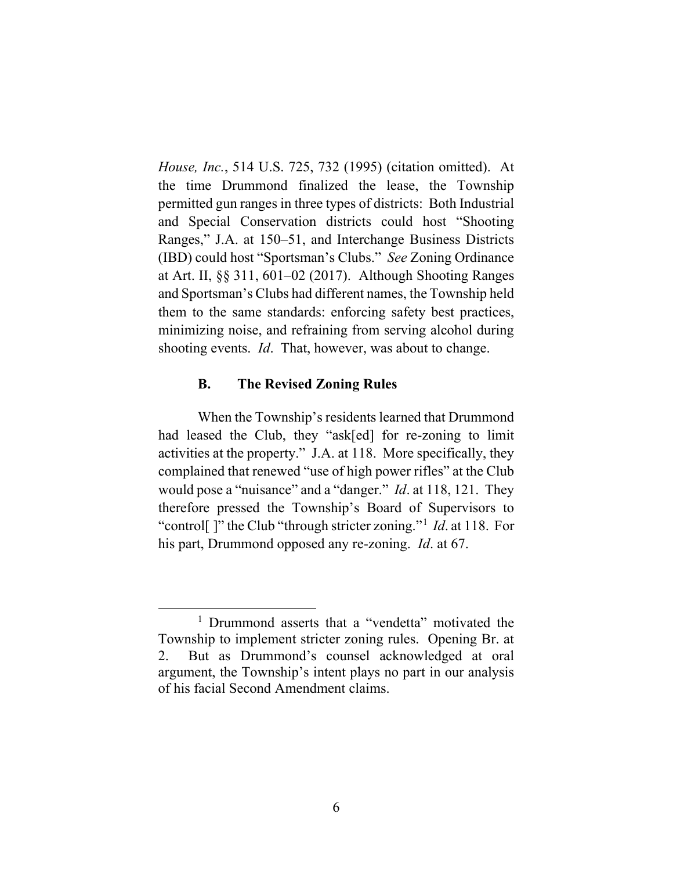*House, Inc.*, 514 U.S. 725, 732 (1995) (citation omitted). At the time Drummond finalized the lease, the Township permitted gun ranges in three types of districts: Both Industrial and Special Conservation districts could host "Shooting Ranges," J.A. at 150–51, and Interchange Business Districts (IBD) could host "Sportsman's Clubs." *See* Zoning Ordinance at Art. II, §§ 311, 601–02 (2017). Although Shooting Ranges and Sportsman's Clubs had different names, the Township held them to the same standards: enforcing safety best practices, minimizing noise, and refraining from serving alcohol during shooting events. *Id*. That, however, was about to change.

## **B. The Revised Zoning Rules**

When the Township's residents learned that Drummond had leased the Club, they "ask[ed] for re-zoning to limit activities at the property." J.A. at 118. More specifically, they complained that renewed "use of high power rifles" at the Club would pose a "nuisance" and a "danger." *Id*. at 118, 121. They therefore pressed the Township's Board of Supervisors to "control[ ]" the Club "through stricter zoning."[1](#page-6-0) *Id*. at 118. For his part, Drummond opposed any re-zoning. *Id*. at 67.

<span id="page-6-0"></span><sup>&</sup>lt;sup>1</sup> Drummond asserts that a "vendetta" motivated the Township to implement stricter zoning rules. Opening Br. at 2.But as Drummond's counsel acknowledged at oral argument, the Township's intent plays no part in our analysis of his facial Second Amendment claims.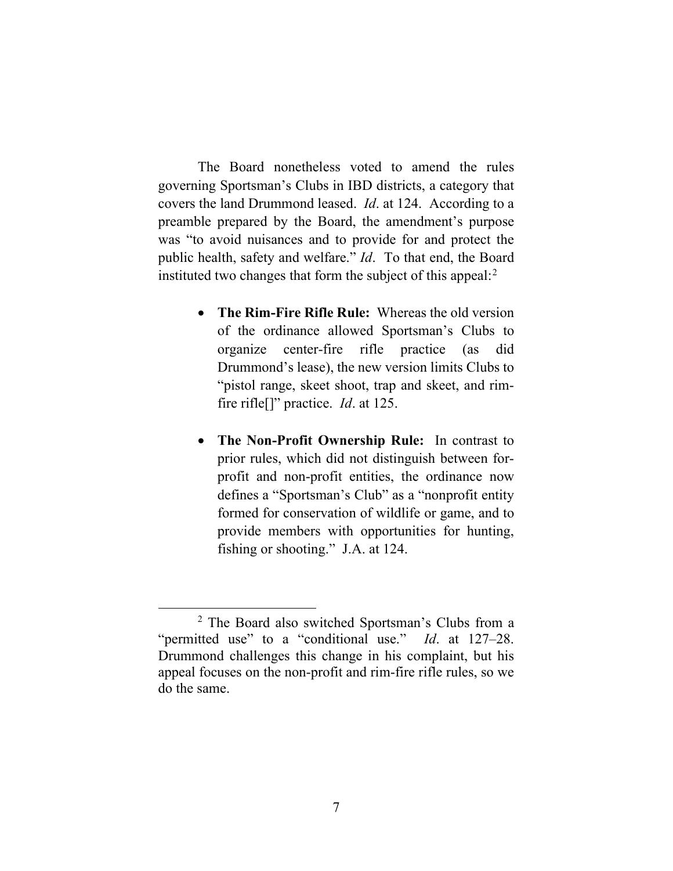The Board nonetheless voted to amend the rules governing Sportsman's Clubs in IBD districts, a category that covers the land Drummond leased. *Id*. at 124. According to a preamble prepared by the Board, the amendment's purpose was "to avoid nuisances and to provide for and protect the public health, safety and welfare." *Id*. To that end, the Board instituted two changes that form the subject of this appeal: $2$ 

- **The Rim-Fire Rifle Rule:** Whereas the old version of the ordinance allowed Sportsman's Clubs to organize center-fire rifle practice (as did Drummond's lease), the new version limits Clubs to "pistol range, skeet shoot, trap and skeet, and rimfire rifle[]" practice. *Id*. at 125.
- **The Non-Profit Ownership Rule:** In contrast to prior rules, which did not distinguish between forprofit and non-profit entities, the ordinance now defines a "Sportsman's Club" as a "nonprofit entity formed for conservation of wildlife or game, and to provide members with opportunities for hunting, fishing or shooting." J.A. at 124.

<span id="page-7-0"></span><sup>2</sup> The Board also switched Sportsman's Clubs from a "permitted use" to a "conditional use." *Id*. at 127–28. Drummond challenges this change in his complaint, but his appeal focuses on the non-profit and rim-fire rifle rules, so we do the same.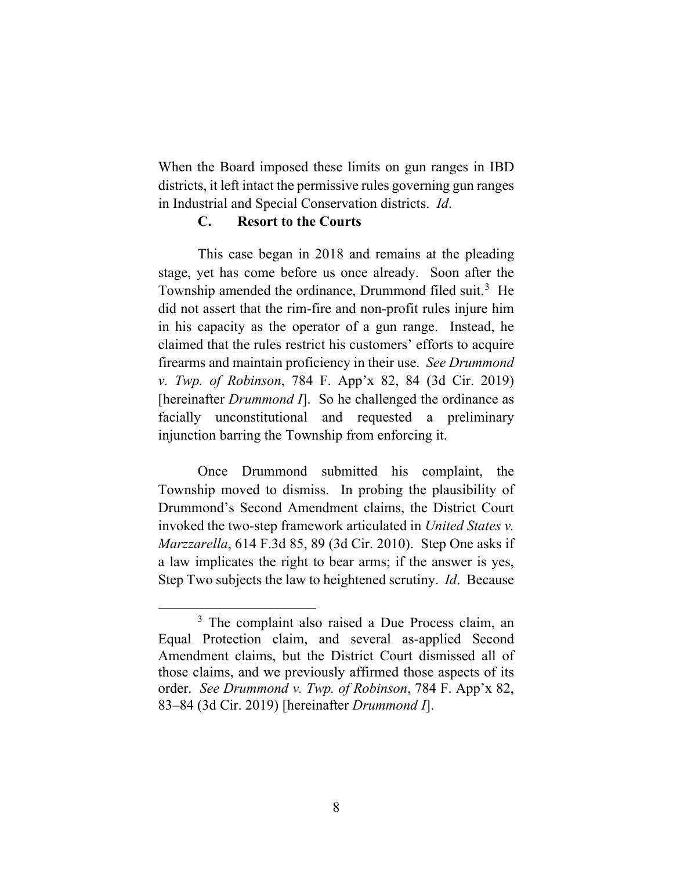When the Board imposed these limits on gun ranges in IBD districts, it left intact the permissive rules governing gun ranges in Industrial and Special Conservation districts. *Id*.

## **C. Resort to the Courts**

This case began in 2018 and remains at the pleading stage, yet has come before us once already. Soon after the Township amended the ordinance, Drummond filed suit.<sup>[3](#page-8-0)</sup> He did not assert that the rim-fire and non-profit rules injure him in his capacity as the operator of a gun range. Instead, he claimed that the rules restrict his customers' efforts to acquire firearms and maintain proficiency in their use. *See Drummond v. Twp. of Robinson*, 784 F. App'x 82, 84 (3d Cir. 2019) [hereinafter *Drummond I*]. So he challenged the ordinance as facially unconstitutional and requested a preliminary injunction barring the Township from enforcing it.

Once Drummond submitted his complaint, the Township moved to dismiss. In probing the plausibility of Drummond's Second Amendment claims, the District Court invoked the two-step framework articulated in *United States v. Marzzarella*, 614 F.3d 85, 89 (3d Cir. 2010). Step One asks if a law implicates the right to bear arms; if the answer is yes, Step Two subjects the law to heightened scrutiny. *Id*. Because

<span id="page-8-0"></span><sup>&</sup>lt;sup>3</sup> The complaint also raised a Due Process claim, an Equal Protection claim, and several as-applied Second Amendment claims, but the District Court dismissed all of those claims, and we previously affirmed those aspects of its order. *See Drummond v. Twp. of Robinson*, 784 F. App'x 82, 83–84 (3d Cir. 2019) [hereinafter *Drummond I*].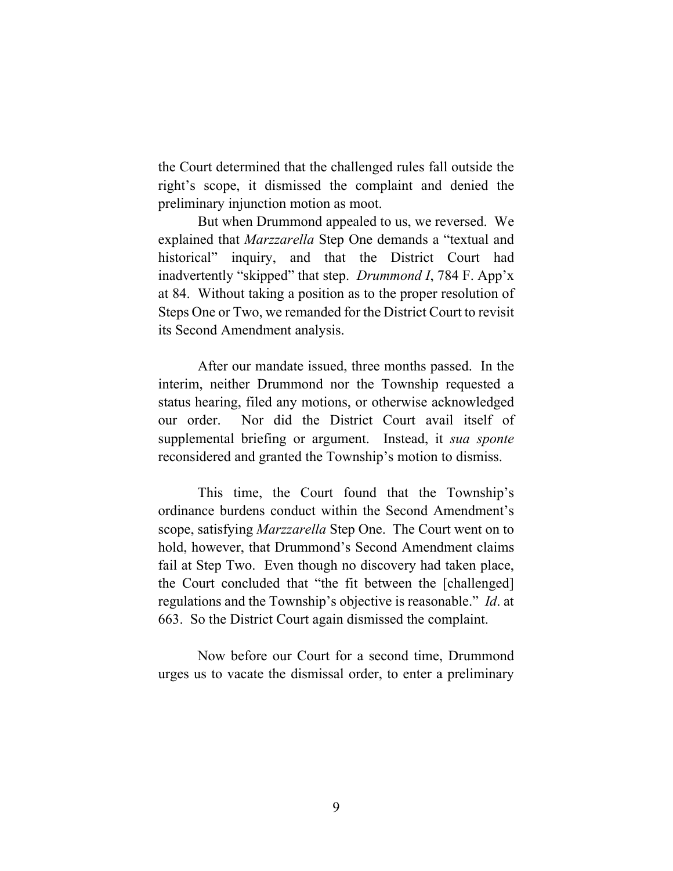the Court determined that the challenged rules fall outside the right's scope, it dismissed the complaint and denied the preliminary injunction motion as moot.

But when Drummond appealed to us, we reversed. We explained that *Marzzarella* Step One demands a "textual and historical" inquiry, and that the District Court had inadvertently "skipped" that step. *Drummond I*, 784 F. App'x at 84. Without taking a position as to the proper resolution of Steps One or Two, we remanded for the District Court to revisit its Second Amendment analysis.

After our mandate issued, three months passed. In the interim, neither Drummond nor the Township requested a status hearing, filed any motions, or otherwise acknowledged our order. Nor did the District Court avail itself of supplemental briefing or argument. Instead, it *sua sponte*  reconsidered and granted the Township's motion to dismiss.

This time, the Court found that the Township's ordinance burdens conduct within the Second Amendment's scope, satisfying *Marzzarella* Step One. The Court went on to hold, however, that Drummond's Second Amendment claims fail at Step Two. Even though no discovery had taken place, the Court concluded that "the fit between the [challenged] regulations and the Township's objective is reasonable." *Id*. at 663. So the District Court again dismissed the complaint.

Now before our Court for a second time, Drummond urges us to vacate the dismissal order, to enter a preliminary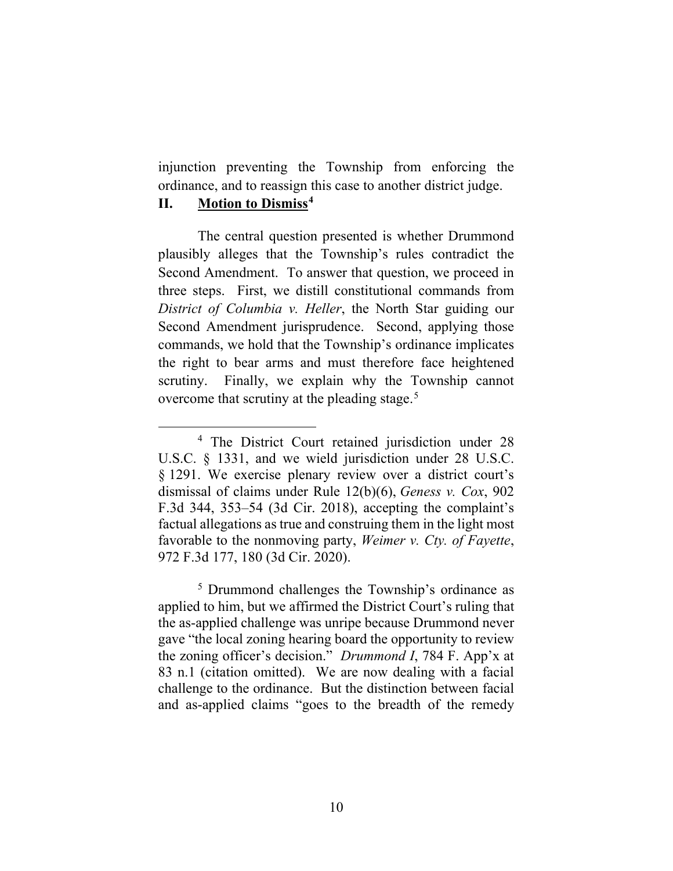injunction preventing the Township from enforcing the ordinance, and to reassign this case to another district judge.

## **II. Motion to Dismiss[4](#page-10-0)**

The central question presented is whether Drummond plausibly alleges that the Township's rules contradict the Second Amendment. To answer that question, we proceed in three steps. First, we distill constitutional commands from *District of Columbia v. Heller*, the North Star guiding our Second Amendment jurisprudence. Second, applying those commands, we hold that the Township's ordinance implicates the right to bear arms and must therefore face heightened scrutiny. Finally, we explain why the Township cannot overcome that scrutiny at the pleading stage.<sup>[5](#page-10-1)</sup>

<span id="page-10-1"></span><sup>5</sup> Drummond challenges the Township's ordinance as applied to him, but we affirmed the District Court's ruling that the as-applied challenge was unripe because Drummond never gave "the local zoning hearing board the opportunity to review the zoning officer's decision." *Drummond I*, 784 F. App'x at 83 n.1 (citation omitted). We are now dealing with a facial challenge to the ordinance. But the distinction between facial and as-applied claims "goes to the breadth of the remedy

<span id="page-10-0"></span><sup>4</sup> The District Court retained jurisdiction under 28 U.S.C. § 1331, and we wield jurisdiction under 28 U.S.C. § 1291. We exercise plenary review over a district court's dismissal of claims under Rule 12(b)(6), *Geness v. Cox*, 902 F.3d 344, 353–54 (3d Cir. 2018), accepting the complaint's factual allegations as true and construing them in the light most favorable to the nonmoving party, *Weimer v. Cty. of Fayette*, 972 F.3d 177, 180 (3d Cir. 2020).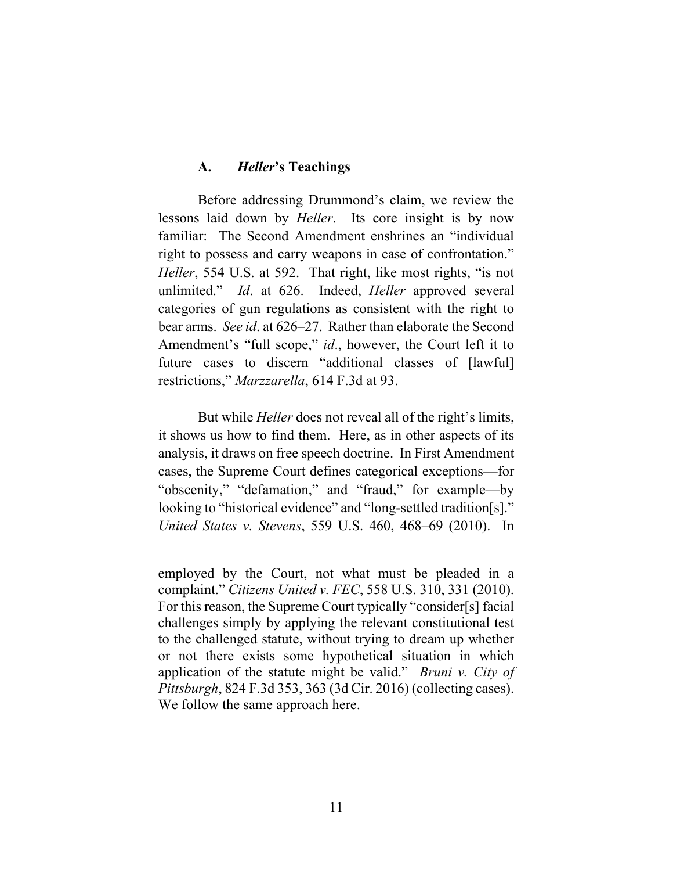#### **A.** *Heller***'s Teachings**

Before addressing Drummond's claim, we review the lessons laid down by *Heller*. Its core insight is by now familiar: The Second Amendment enshrines an "individual right to possess and carry weapons in case of confrontation." *Heller*, 554 U.S. at 592. That right, like most rights, "is not unlimited." *Id*. at 626. Indeed, *Heller* approved several categories of gun regulations as consistent with the right to bear arms. *See id*. at 626–27. Rather than elaborate the Second Amendment's "full scope," *id*., however, the Court left it to future cases to discern "additional classes of [lawful] restrictions," *Marzzarella*, 614 F.3d at 93.

But while *Heller* does not reveal all of the right's limits, it shows us how to find them. Here, as in other aspects of its analysis, it draws on free speech doctrine. In First Amendment cases, the Supreme Court defines categorical exceptions—for "obscenity," "defamation," and "fraud," for example—by looking to "historical evidence" and "long-settled tradition[s]." *United States v. Stevens*, 559 U.S. 460, 468–69 (2010). In

employed by the Court, not what must be pleaded in a complaint." *Citizens United v. FEC*, 558 U.S. 310, 331 (2010). For this reason, the Supreme Court typically "consider[s] facial challenges simply by applying the relevant constitutional test to the challenged statute, without trying to dream up whether or not there exists some hypothetical situation in which application of the statute might be valid." *Bruni v. City of Pittsburgh*, 824 F.3d 353, 363 (3d Cir. 2016) (collecting cases). We follow the same approach here.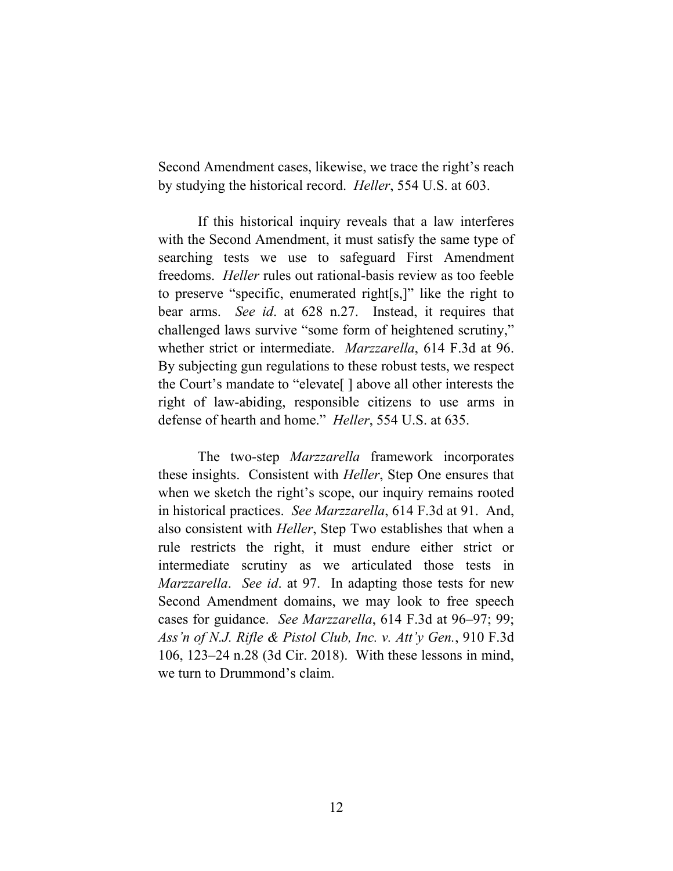Second Amendment cases, likewise, we trace the right's reach by studying the historical record. *Heller*, 554 U.S. at 603.

If this historical inquiry reveals that a law interferes with the Second Amendment, it must satisfy the same type of searching tests we use to safeguard First Amendment freedoms. *Heller* rules out rational-basis review as too feeble to preserve "specific, enumerated right[s,]" like the right to bear arms. *See id*. at 628 n.27. Instead, it requires that challenged laws survive "some form of heightened scrutiny," whether strict or intermediate. *Marzzarella*, 614 F.3d at 96. By subjecting gun regulations to these robust tests, we respect the Court's mandate to "elevate[ ] above all other interests the right of law-abiding, responsible citizens to use arms in defense of hearth and home." *Heller*, 554 U.S. at 635.

The two-step *Marzzarella* framework incorporates these insights. Consistent with *Heller*, Step One ensures that when we sketch the right's scope, our inquiry remains rooted in historical practices. *See Marzzarella*, 614 F.3d at 91. And, also consistent with *Heller*, Step Two establishes that when a rule restricts the right, it must endure either strict or intermediate scrutiny as we articulated those tests in *Marzzarella*. *See id*. at 97. In adapting those tests for new Second Amendment domains, we may look to free speech cases for guidance. *See Marzzarella*, 614 F.3d at 96–97; 99; *Ass'n of N.J. Rifle & Pistol Club, Inc. v. Att'y Gen.*, 910 F.3d 106, 123–24 n.28 (3d Cir. 2018). With these lessons in mind, we turn to Drummond's claim.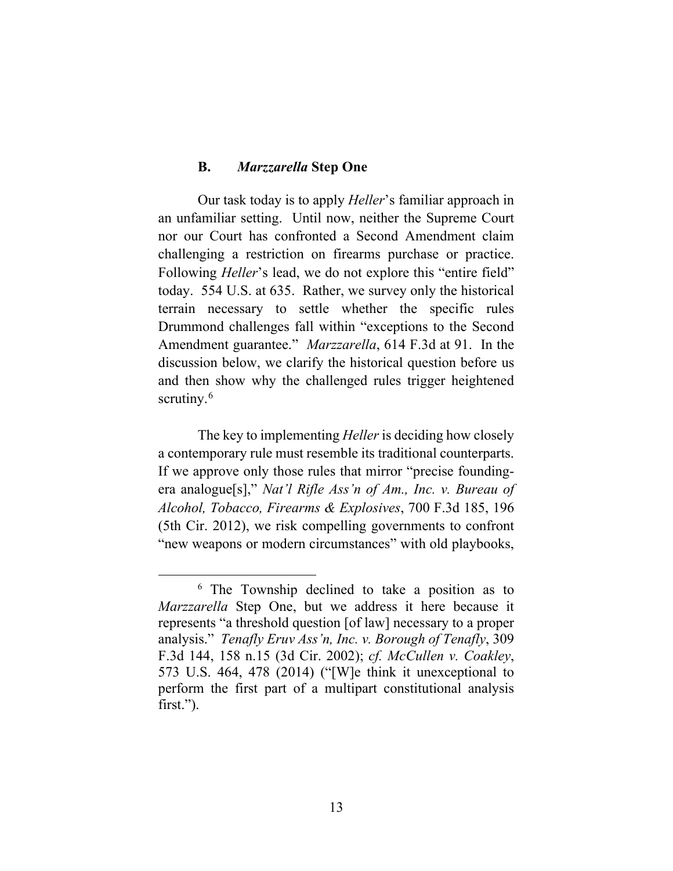#### **B.** *Marzzarella* **Step One**

Our task today is to apply *Heller*'s familiar approach in an unfamiliar setting. Until now, neither the Supreme Court nor our Court has confronted a Second Amendment claim challenging a restriction on firearms purchase or practice. Following *Heller*'s lead, we do not explore this "entire field" today. 554 U.S. at 635. Rather, we survey only the historical terrain necessary to settle whether the specific rules Drummond challenges fall within "exceptions to the Second Amendment guarantee." *Marzzarella*, 614 F.3d at 91. In the discussion below, we clarify the historical question before us and then show why the challenged rules trigger heightened scrutiny. $6$ 

The key to implementing *Heller* is deciding how closely a contemporary rule must resemble its traditional counterparts. If we approve only those rules that mirror "precise foundingera analogue[s]," *Nat'l Rifle Ass'n of Am., Inc. v. Bureau of Alcohol, Tobacco, Firearms & Explosives*, 700 F.3d 185, 196 (5th Cir. 2012), we risk compelling governments to confront "new weapons or modern circumstances" with old playbooks,

<span id="page-13-0"></span><sup>6</sup> The Township declined to take a position as to *Marzzarella* Step One, but we address it here because it represents "a threshold question [of law] necessary to a proper analysis." *Tenafly Eruv Ass'n, Inc. v. Borough of Tenafly*, 309 F.3d 144, 158 n.15 (3d Cir. 2002); *cf. McCullen v. Coakley*, 573 U.S. 464, 478 (2014) ("[W]e think it unexceptional to perform the first part of a multipart constitutional analysis first.").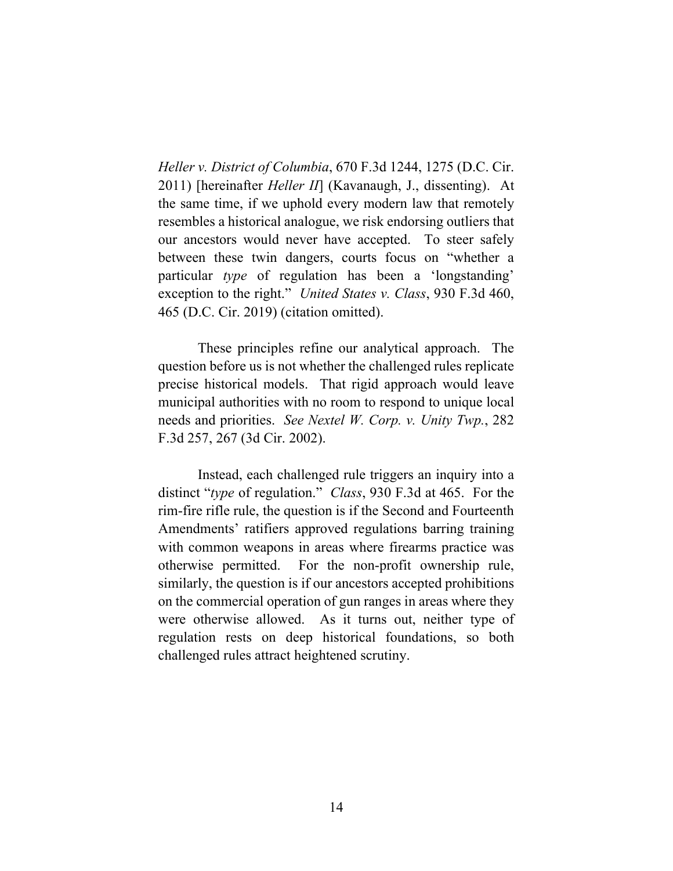*Heller v. District of Columbia*, 670 F.3d 1244, 1275 (D.C. Cir. 2011) [hereinafter *Heller II*] (Kavanaugh, J., dissenting). At the same time, if we uphold every modern law that remotely resembles a historical analogue, we risk endorsing outliers that our ancestors would never have accepted. To steer safely between these twin dangers, courts focus on "whether a particular *type* of regulation has been a 'longstanding' exception to the right." *United States v. Class*, 930 F.3d 460, 465 (D.C. Cir. 2019) (citation omitted).

These principles refine our analytical approach. The question before us is not whether the challenged rules replicate precise historical models. That rigid approach would leave municipal authorities with no room to respond to unique local needs and priorities. *See Nextel W. Corp. v. Unity Twp.*, 282 F.3d 257, 267 (3d Cir. 2002).

Instead, each challenged rule triggers an inquiry into a distinct "*type* of regulation." *Class*, 930 F.3d at 465. For the rim-fire rifle rule, the question is if the Second and Fourteenth Amendments' ratifiers approved regulations barring training with common weapons in areas where firearms practice was otherwise permitted. For the non-profit ownership rule, similarly, the question is if our ancestors accepted prohibitions on the commercial operation of gun ranges in areas where they were otherwise allowed. As it turns out, neither type of regulation rests on deep historical foundations, so both challenged rules attract heightened scrutiny.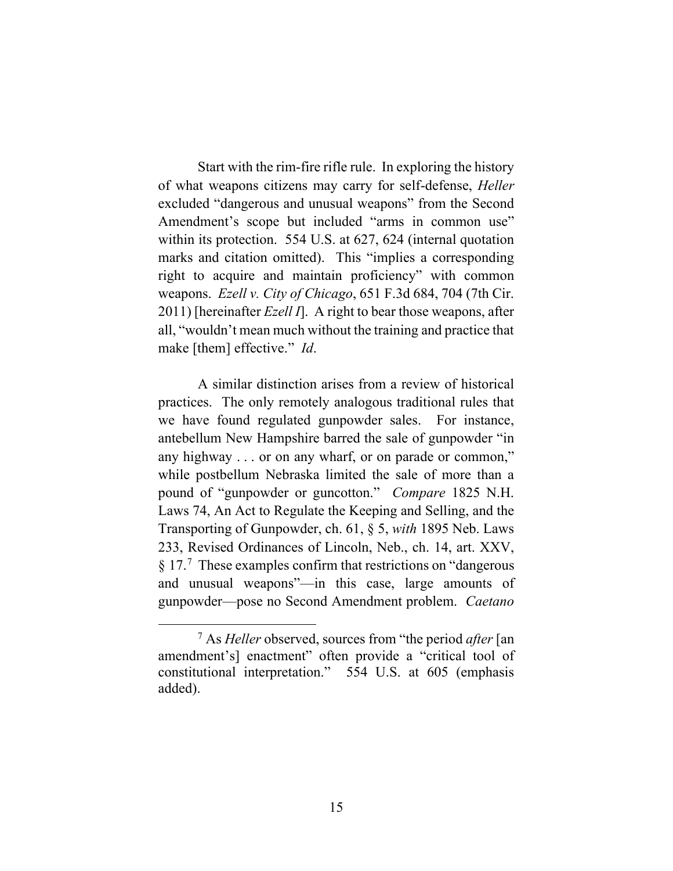Start with the rim-fire rifle rule. In exploring the history of what weapons citizens may carry for self-defense, *Heller* excluded "dangerous and unusual weapons" from the Second Amendment's scope but included "arms in common use" within its protection. 554 U.S. at 627, 624 (internal quotation marks and citation omitted). This "implies a corresponding right to acquire and maintain proficiency" with common weapons. *Ezell v. City of Chicago*, 651 F.3d 684, 704 (7th Cir. 2011) [hereinafter *Ezell I*]. A right to bear those weapons, after all, "wouldn't mean much without the training and practice that make [them] effective." *Id*.

A similar distinction arises from a review of historical practices. The only remotely analogous traditional rules that we have found regulated gunpowder sales. For instance, antebellum New Hampshire barred the sale of gunpowder "in any highway . . . or on any wharf, or on parade or common," while postbellum Nebraska limited the sale of more than a pound of "gunpowder or guncotton." *Compare* 1825 N.H. Laws 74, An Act to Regulate the Keeping and Selling, and the Transporting of Gunpowder, ch. 61, § 5, *with* 1895 Neb. Laws 233, Revised Ordinances of Lincoln, Neb., ch. 14, art. XXV, § 1[7](#page-15-0).<sup>7</sup> These examples confirm that restrictions on "dangerous" and unusual weapons"—in this case, large amounts of gunpowder—pose no Second Amendment problem. *Caetano* 

<span id="page-15-0"></span><sup>7</sup> As *Heller* observed, sources from "the period *after* [an amendment's] enactment" often provide a "critical tool of constitutional interpretation." 554 U.S. at 605 (emphasis added).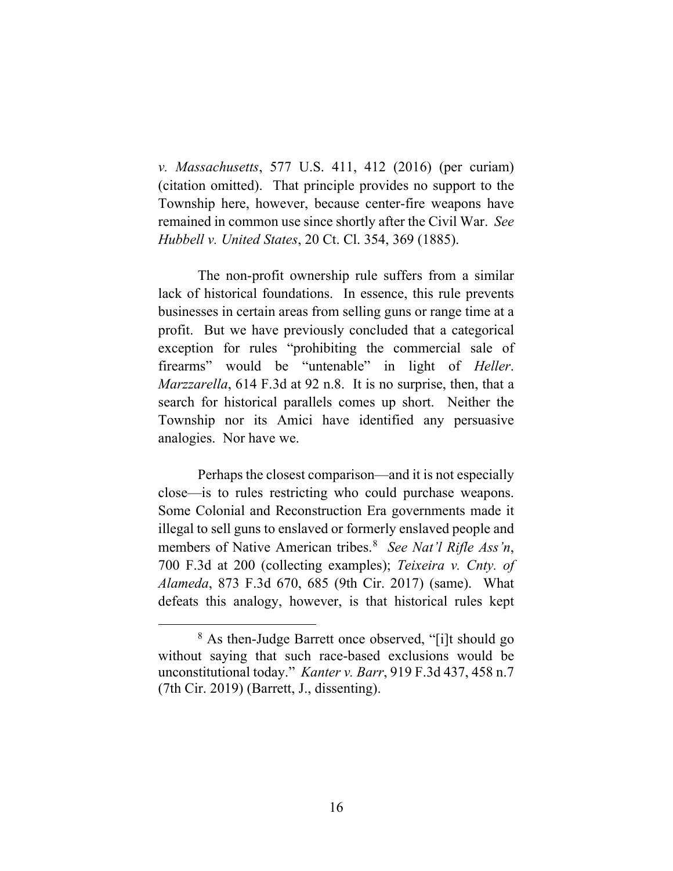*v. Massachusetts*, 577 U.S. 411, 412 (2016) (per curiam) (citation omitted). That principle provides no support to the Township here, however, because center-fire weapons have remained in common use since shortly after the Civil War. *See Hubbell v. United States*, 20 Ct. Cl. 354, 369 (1885).

The non-profit ownership rule suffers from a similar lack of historical foundations. In essence, this rule prevents businesses in certain areas from selling guns or range time at a profit. But we have previously concluded that a categorical exception for rules "prohibiting the commercial sale of firearms" would be "untenable" in light of *Heller*. *Marzzarella*, 614 F.3d at 92 n.8. It is no surprise, then, that a search for historical parallels comes up short. Neither the Township nor its Amici have identified any persuasive analogies. Nor have we.

Perhaps the closest comparison—and it is not especially close—is to rules restricting who could purchase weapons. Some Colonial and Reconstruction Era governments made it illegal to sell guns to enslaved or formerly enslaved people and members of Native American tribes. [8](#page-16-0) *See Nat'l Rifle Ass'n*, 700 F.3d at 200 (collecting examples); *Teixeira v. Cnty. of Alameda*, 873 F.3d 670, 685 (9th Cir. 2017) (same). What defeats this analogy, however, is that historical rules kept

<span id="page-16-0"></span><sup>8</sup> As then-Judge Barrett once observed, "[i]t should go without saying that such race-based exclusions would be unconstitutional today." *Kanter v. Barr*, 919 F.3d 437, 458 n.7 (7th Cir. 2019) (Barrett, J., dissenting).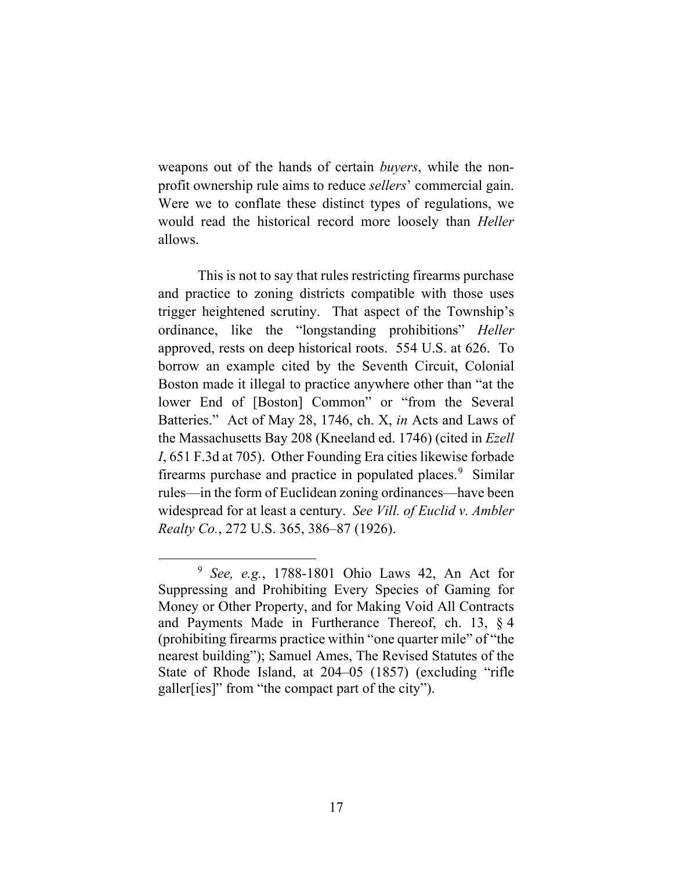weapons out of the hands of certain *buyers*, while the nonprofit ownership rule aims to reduce *sellers*' commercial gain. Were we to conflate these distinct types of regulations, we would read the historical record more loosely than *Heller* allows.

This is not to say that rules restricting firearms purchase and practice to zoning districts compatible with those uses trigger heightened scrutiny. That aspect of the Township's ordinance, like the "longstanding prohibitions" *Heller* approved, rests on deep historical roots. 554 U.S. at 626. To borrow an example cited by the Seventh Circuit, Colonial Boston made it illegal to practice anywhere other than "at the lower End of [Boston] Common" or "from the Several Batteries." Act of May 28, 1746, ch. X, *in* Acts and Laws of the Massachusetts Bay 208 (Kneeland ed. 1746) (cited in *Ezell I*, 651 F.3d at 705). Other Founding Era cities likewise forbade firearms purchase and practice in populated places.<sup>[9](#page-17-0)</sup> Similar rules—in the form of Euclidean zoning ordinances—have been widespread for at least a century. *See Vill. of Euclid v. Ambler Realty Co.*, 272 U.S. 365, 386–87 (1926).

<span id="page-17-0"></span><sup>9</sup> *See, e.g.*, 1788-1801 Ohio Laws 42, An Act for Suppressing and Prohibiting Every Species of Gaming for Money or Other Property, and for Making Void All Contracts and Payments Made in Furtherance Thereof, ch. 13, § 4 (prohibiting firearms practice within "one quarter mile" of "the nearest building"); Samuel Ames, The Revised Statutes of the State of Rhode Island, at 204–05 (1857) (excluding "rifle galler[ies]" from "the compact part of the city").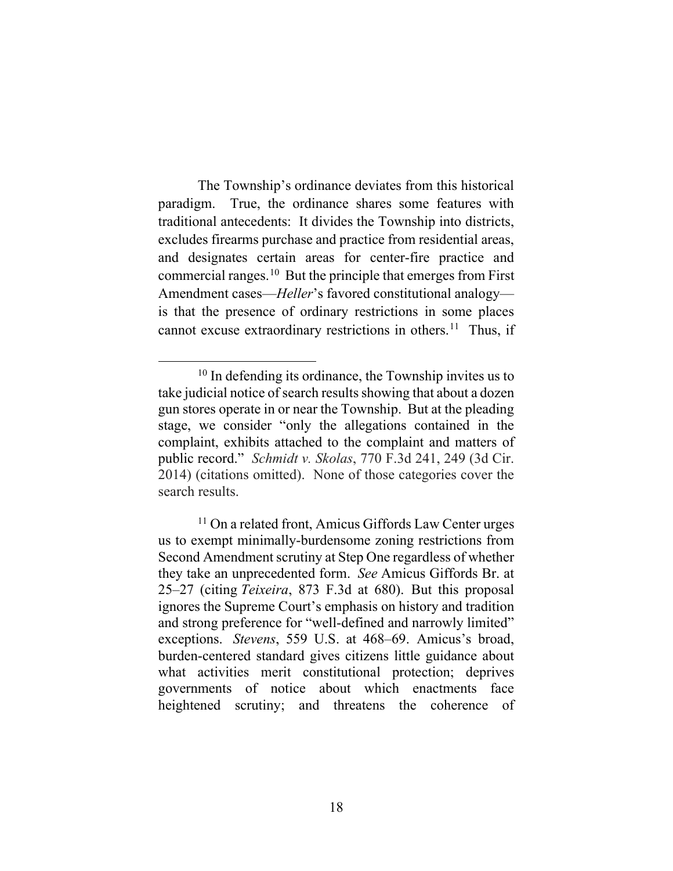The Township's ordinance deviates from this historical paradigm. True, the ordinance shares some features with traditional antecedents: It divides the Township into districts, excludes firearms purchase and practice from residential areas, and designates certain areas for center-fire practice and commercial ranges.[10](#page-18-0) But the principle that emerges from First Amendment cases—*Heller*'s favored constitutional analogy is that the presence of ordinary restrictions in some places cannot excuse extraordinary restrictions in others.<sup>11</sup> Thus, if

<span id="page-18-0"></span> $10$  In defending its ordinance, the Township invites us to take judicial notice of search results showing that about a dozen gun stores operate in or near the Township. But at the pleading stage, we consider "only the allegations contained in the complaint, exhibits attached to the complaint and matters of public record." *Schmidt v. Skolas*, 770 F.3d 241, 249 (3d Cir. 2014) (citations omitted). None of those categories cover the search results.

<span id="page-18-1"></span><sup>&</sup>lt;sup>11</sup> On a related front, Amicus Giffords Law Center urges us to exempt minimally-burdensome zoning restrictions from Second Amendment scrutiny at Step One regardless of whether they take an unprecedented form. *See* Amicus Giffords Br. at 25–27 (citing *Teixeira*, 873 F.3d at 680).But this proposal ignores the Supreme Court's emphasis on history and tradition and strong preference for "well-defined and narrowly limited" exceptions. *Stevens*, 559 U.S. at 468–69. Amicus's broad, burden-centered standard gives citizens little guidance about what activities merit constitutional protection; deprives governments of notice about which enactments face heightened scrutiny; and threatens the coherence of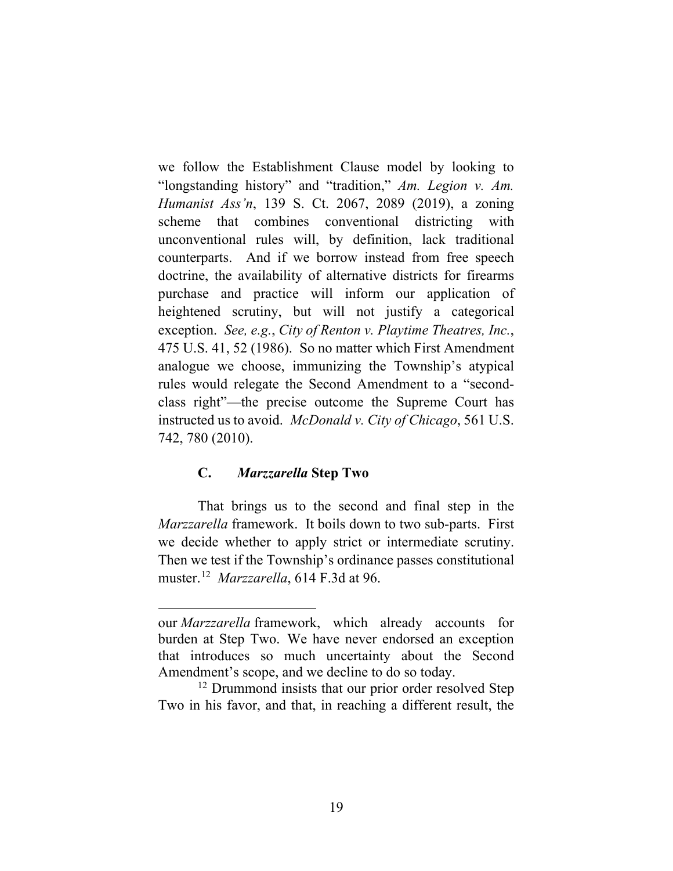we follow the Establishment Clause model by looking to "longstanding history" and "tradition," *Am. Legion v. Am. Humanist Ass'n*, 139 S. Ct. 2067, 2089 (2019), a zoning scheme that combines conventional districting with unconventional rules will, by definition, lack traditional counterparts. And if we borrow instead from free speech doctrine, the availability of alternative districts for firearms purchase and practice will inform our application of heightened scrutiny, but will not justify a categorical exception. *See, e.g.*, *City of Renton v. Playtime Theatres, Inc.*, 475 U.S. 41, 52 (1986). So no matter which First Amendment analogue we choose, immunizing the Township's atypical rules would relegate the Second Amendment to a "secondclass right"—the precise outcome the Supreme Court has instructed us to avoid. *McDonald v. City of Chicago*, 561 U.S. 742, 780 (2010).

# **C.** *Marzzarella* **Step Two**

That brings us to the second and final step in the *Marzzarella* framework. It boils down to two sub-parts. First we decide whether to apply strict or intermediate scrutiny. Then we test if the Township's ordinance passes constitutional muster.[12](#page-19-0) *Marzzarella*, 614 F.3d at 96.

our *Marzzarella* framework, which already accounts for burden at Step Two. We have never endorsed an exception that introduces so much uncertainty about the Second Amendment's scope, and we decline to do so today.<br><sup>12</sup> Drummond insists that our prior order resolved Step

<span id="page-19-0"></span>Two in his favor, and that, in reaching a different result, the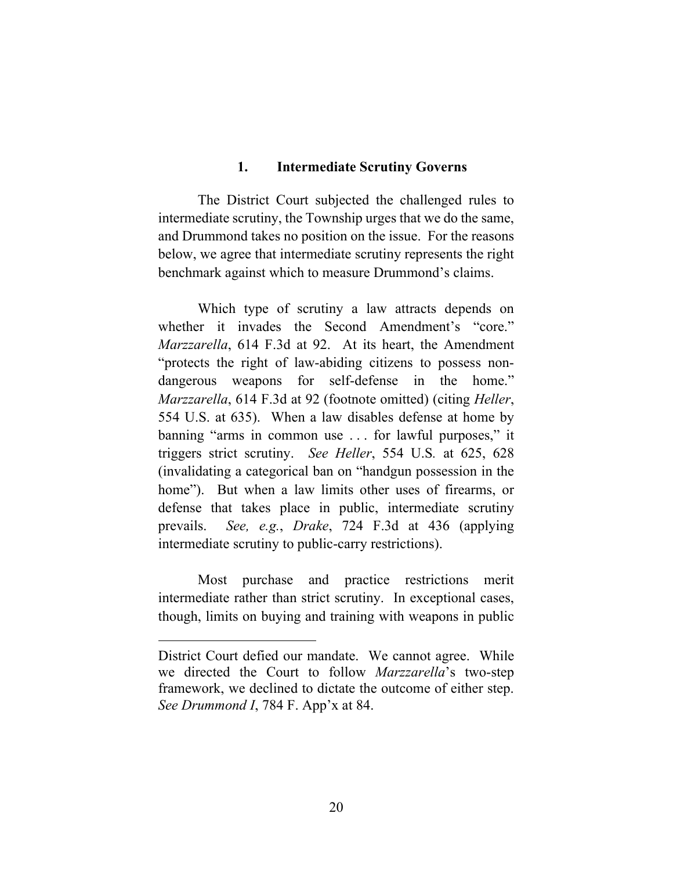#### **1. Intermediate Scrutiny Governs**

The District Court subjected the challenged rules to intermediate scrutiny, the Township urges that we do the same, and Drummond takes no position on the issue. For the reasons below, we agree that intermediate scrutiny represents the right benchmark against which to measure Drummond's claims.

Which type of scrutiny a law attracts depends on whether it invades the Second Amendment's "core." *Marzzarella*, 614 F.3d at 92. At its heart, the Amendment "protects the right of law-abiding citizens to possess nondangerous weapons for self-defense in the home." *Marzzarella*, 614 F.3d at 92 (footnote omitted) (citing *Heller*, 554 U.S. at 635). When a law disables defense at home by banning "arms in common use . . . for lawful purposes," it triggers strict scrutiny. *See Heller*, 554 U.S*.* at 625, 628 (invalidating a categorical ban on "handgun possession in the home"). But when a law limits other uses of firearms, or defense that takes place in public, intermediate scrutiny prevails. *See, e.g.*, *Drake*, 724 F.3d at 436 (applying intermediate scrutiny to public-carry restrictions).

Most purchase and practice restrictions merit intermediate rather than strict scrutiny. In exceptional cases, though, limits on buying and training with weapons in public

District Court defied our mandate. We cannot agree. While we directed the Court to follow *Marzzarella*'s two-step framework, we declined to dictate the outcome of either step. *See Drummond I*, 784 F. App'x at 84.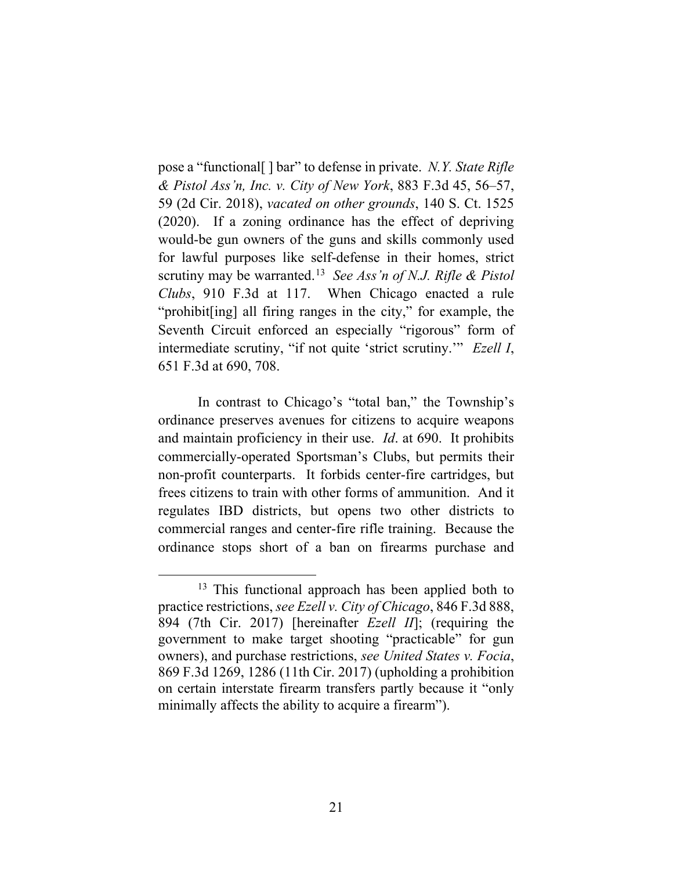pose a "functional[ ] bar" to defense in private. *N.Y. State Rifle & Pistol Ass'n, Inc. v. City of New York*, 883 F.3d 45, 56–57, 59 (2d Cir. 2018), *vacated on other grounds*, 140 S. Ct. 1525 (2020). If a zoning ordinance has the effect of depriving would-be gun owners of the guns and skills commonly used for lawful purposes like self-defense in their homes, strict scrutiny may be warranted.[13](#page-21-0) *See Ass'n of N.J. Rifle & Pistol Clubs*, 910 F.3d at 117. When Chicago enacted a rule "prohibit[ing] all firing ranges in the city," for example, the Seventh Circuit enforced an especially "rigorous" form of intermediate scrutiny, "if not quite 'strict scrutiny.'" *Ezell I*, 651 F.3d at 690, 708.

In contrast to Chicago's "total ban," the Township's ordinance preserves avenues for citizens to acquire weapons and maintain proficiency in their use. *Id*. at 690. It prohibits commercially-operated Sportsman's Clubs, but permits their non-profit counterparts. It forbids center-fire cartridges, but frees citizens to train with other forms of ammunition. And it regulates IBD districts, but opens two other districts to commercial ranges and center-fire rifle training. Because the ordinance stops short of a ban on firearms purchase and

<span id="page-21-0"></span> $13$  This functional approach has been applied both to practice restrictions, *see Ezell v. City of Chicago*, 846 F.3d 888, 894 (7th Cir. 2017) [hereinafter *Ezell II*]; (requiring the government to make target shooting "practicable" for gun owners), and purchase restrictions, *see United States v. Focia*, 869 F.3d 1269, 1286 (11th Cir. 2017) (upholding a prohibition on certain interstate firearm transfers partly because it "only minimally affects the ability to acquire a firearm").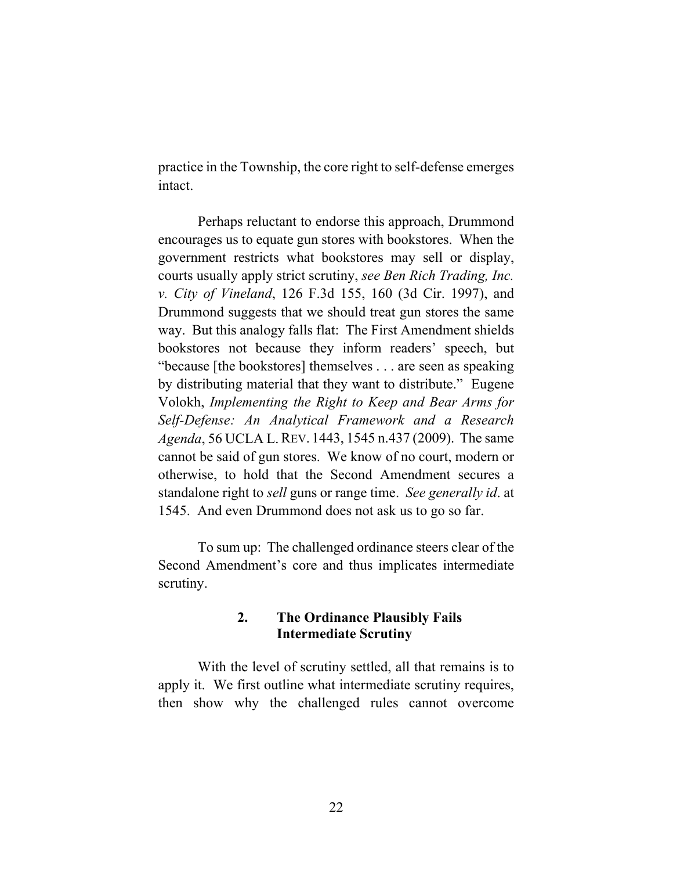practice in the Township, the core right to self-defense emerges intact.

Perhaps reluctant to endorse this approach, Drummond encourages us to equate gun stores with bookstores. When the government restricts what bookstores may sell or display, courts usually apply strict scrutiny, *see Ben Rich Trading, Inc. v. City of Vineland*, 126 F.3d 155, 160 (3d Cir. 1997), and Drummond suggests that we should treat gun stores the same way. But this analogy falls flat: The First Amendment shields bookstores not because they inform readers' speech, but "because [the bookstores] themselves . . . are seen as speaking by distributing material that they want to distribute." Eugene Volokh, *Implementing the Right to Keep and Bear Arms for Self-Defense: An Analytical Framework and a Research Agenda*, 56 UCLA L.REV. 1443, 1545 n.437 (2009). The same cannot be said of gun stores. We know of no court, modern or otherwise, to hold that the Second Amendment secures a standalone right to *sell* guns or range time. *See generally id*. at 1545. And even Drummond does not ask us to go so far.

To sum up: The challenged ordinance steers clear of the Second Amendment's core and thus implicates intermediate scrutiny.

# **2. The Ordinance Plausibly Fails Intermediate Scrutiny**

With the level of scrutiny settled, all that remains is to apply it. We first outline what intermediate scrutiny requires, then show why the challenged rules cannot overcome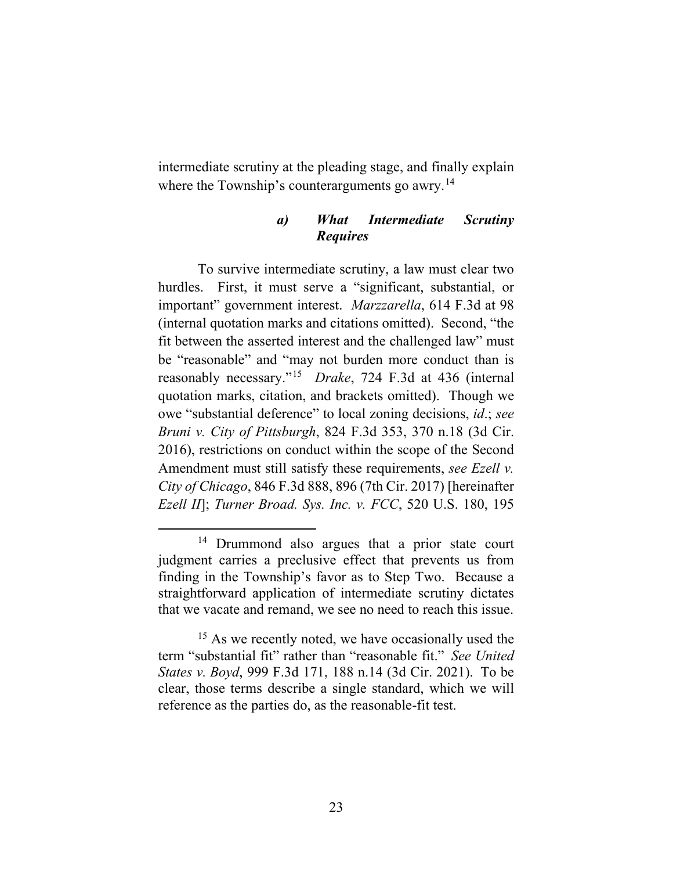intermediate scrutiny at the pleading stage, and finally explain where the Township's counterarguments go awry.<sup>14</sup>

# *a) What Intermediate Scrutiny Requires*

To survive intermediate scrutiny, a law must clear two hurdles. First, it must serve a "significant, substantial, or important" government interest. *Marzzarella*, 614 F.3d at 98 (internal quotation marks and citations omitted). Second, "the fit between the asserted interest and the challenged law" must be "reasonable" and "may not burden more conduct than is reasonably necessary."[15](#page-23-1) *Drake*, 724 F.3d at 436 (internal quotation marks, citation, and brackets omitted). Though we owe "substantial deference" to local zoning decisions, *id*.; *see Bruni v. City of Pittsburgh*, 824 F.3d 353, 370 n.18 (3d Cir. 2016), restrictions on conduct within the scope of the Second Amendment must still satisfy these requirements, *see Ezell v. City of Chicago*, 846 F.3d 888, 896 (7th Cir. 2017) [hereinafter *Ezell II*]; *Turner Broad. Sys. Inc. v. FCC*, 520 U.S. 180, 195

<span id="page-23-0"></span><sup>&</sup>lt;sup>14</sup> Drummond also argues that a prior state court judgment carries a preclusive effect that prevents us from finding in the Township's favor as to Step Two. Because a straightforward application of intermediate scrutiny dictates that we vacate and remand, we see no need to reach this issue.

<span id="page-23-1"></span><sup>&</sup>lt;sup>15</sup> As we recently noted, we have occasionally used the term "substantial fit" rather than "reasonable fit." *See United States v. Boyd*, 999 F.3d 171, 188 n.14 (3d Cir. 2021). To be clear, those terms describe a single standard, which we will reference as the parties do, as the reasonable-fit test.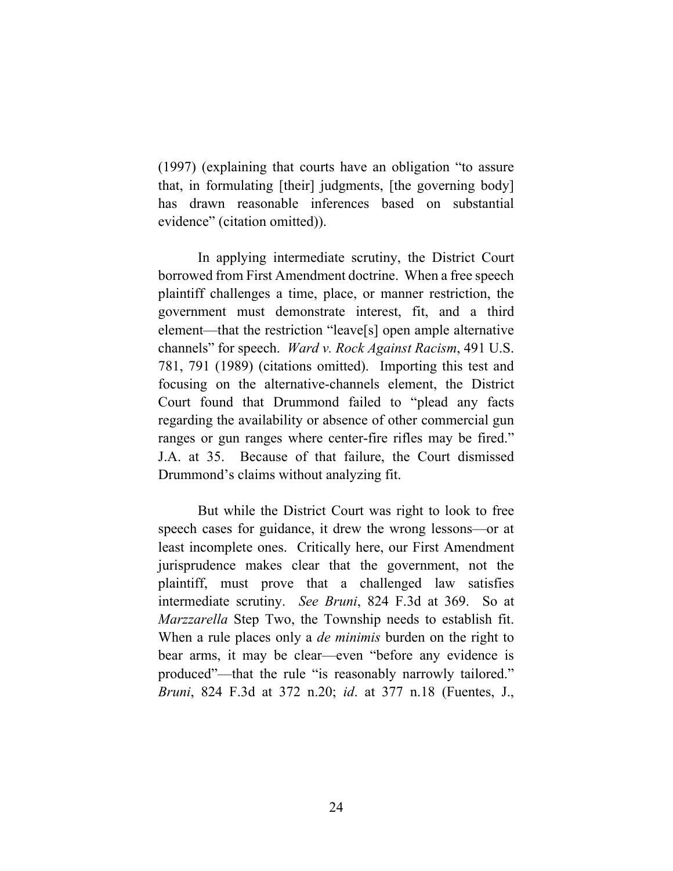(1997) (explaining that courts have an obligation "to assure that, in formulating [their] judgments, [the governing body] has drawn reasonable inferences based on substantial evidence" (citation omitted)).

In applying intermediate scrutiny, the District Court borrowed from First Amendment doctrine. When a free speech plaintiff challenges a time, place, or manner restriction, the government must demonstrate interest, fit, and a third element—that the restriction "leave[s] open ample alternative channels" for speech. *Ward v. Rock Against Racism*, 491 U.S. 781, 791 (1989) (citations omitted). Importing this test and focusing on the alternative-channels element, the District Court found that Drummond failed to "plead any facts regarding the availability or absence of other commercial gun ranges or gun ranges where center-fire rifles may be fired." J.A. at 35. Because of that failure, the Court dismissed Drummond's claims without analyzing fit.

But while the District Court was right to look to free speech cases for guidance, it drew the wrong lessons—or at least incomplete ones. Critically here, our First Amendment jurisprudence makes clear that the government, not the plaintiff, must prove that a challenged law satisfies intermediate scrutiny. *See Bruni*, 824 F.3d at 369. So at *Marzzarella* Step Two, the Township needs to establish fit. When a rule places only a *de minimis* burden on the right to bear arms, it may be clear—even "before any evidence is produced"—that the rule "is reasonably narrowly tailored." *Bruni*, 824 F.3d at 372 n.20; *id*. at 377 n.18 (Fuentes, J.,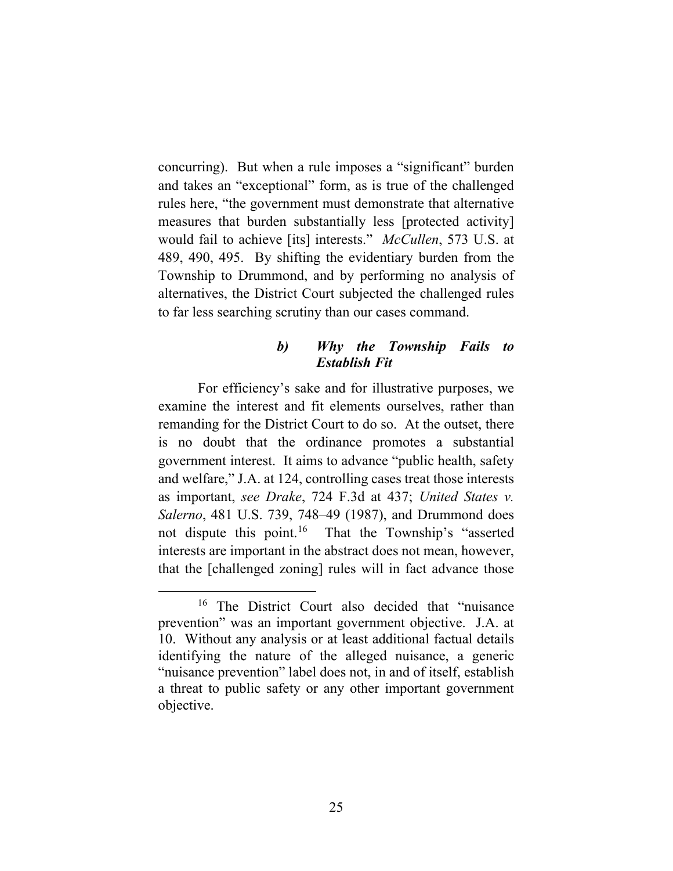concurring). But when a rule imposes a "significant" burden and takes an "exceptional" form, as is true of the challenged rules here, "the government must demonstrate that alternative measures that burden substantially less [protected activity] would fail to achieve [its] interests." *McCullen*, 573 U.S. at 489, 490, 495. By shifting the evidentiary burden from the Township to Drummond, and by performing no analysis of alternatives, the District Court subjected the challenged rules to far less searching scrutiny than our cases command.

## *b) Why the Township Fails to Establish Fit*

For efficiency's sake and for illustrative purposes, we examine the interest and fit elements ourselves, rather than remanding for the District Court to do so. At the outset, there is no doubt that the ordinance promotes a substantial government interest. It aims to advance "public health, safety and welfare," J.A. at 124, controlling cases treat those interests as important, *see Drake*, 724 F.3d at 437; *United States v. Salerno*, 481 U.S. 739, 748–49 (1987), and Drummond does not dispute this point.<sup>16</sup> That the Township's "asserted interests are important in the abstract does not mean, however, that the [challenged zoning] rules will in fact advance those

<span id="page-25-0"></span><sup>&</sup>lt;sup>16</sup> The District Court also decided that "nuisance prevention" was an important government objective. J.A. at 10. Without any analysis or at least additional factual details identifying the nature of the alleged nuisance, a generic "nuisance prevention" label does not, in and of itself, establish a threat to public safety or any other important government objective.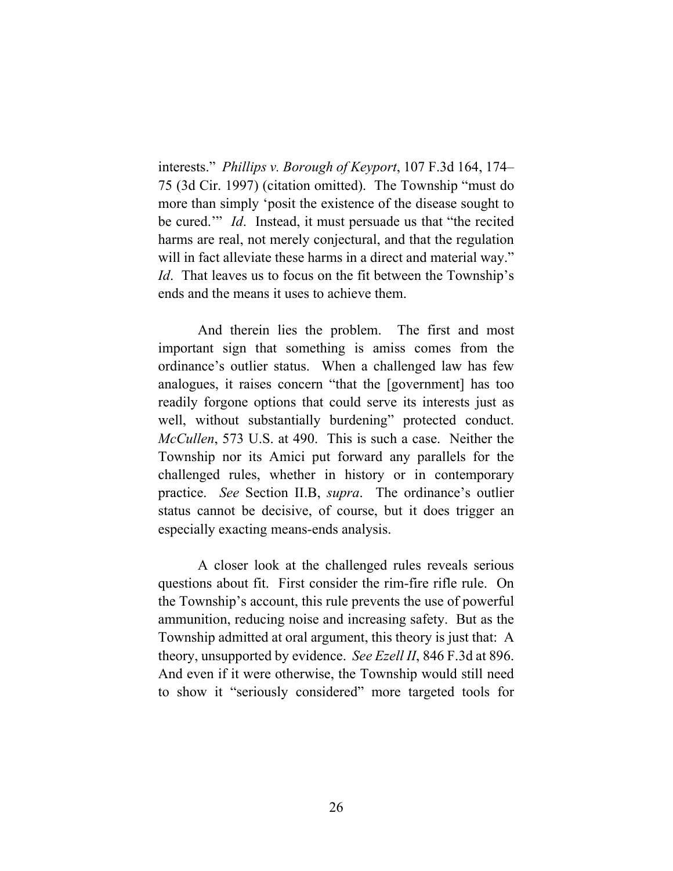interests." *Phillips v. Borough of Keyport*, 107 F.3d 164, 174– 75 (3d Cir. 1997) (citation omitted). The Township "must do more than simply 'posit the existence of the disease sought to be cured.'" *Id*. Instead, it must persuade us that "the recited harms are real, not merely conjectural, and that the regulation will in fact alleviate these harms in a direct and material way." *Id.* That leaves us to focus on the fit between the Township's ends and the means it uses to achieve them.

And therein lies the problem. The first and most important sign that something is amiss comes from the ordinance's outlier status. When a challenged law has few analogues, it raises concern "that the [government] has too readily forgone options that could serve its interests just as well, without substantially burdening" protected conduct. *McCullen*, 573 U.S. at 490. This is such a case. Neither the Township nor its Amici put forward any parallels for the challenged rules, whether in history or in contemporary practice. *See* Section II.B, *supra*. The ordinance's outlier status cannot be decisive, of course, but it does trigger an especially exacting means-ends analysis.

A closer look at the challenged rules reveals serious questions about fit. First consider the rim-fire rifle rule. On the Township's account, this rule prevents the use of powerful ammunition, reducing noise and increasing safety. But as the Township admitted at oral argument, this theory is just that: A theory, unsupported by evidence. *See Ezell II*, 846 F.3d at 896. And even if it were otherwise, the Township would still need to show it "seriously considered" more targeted tools for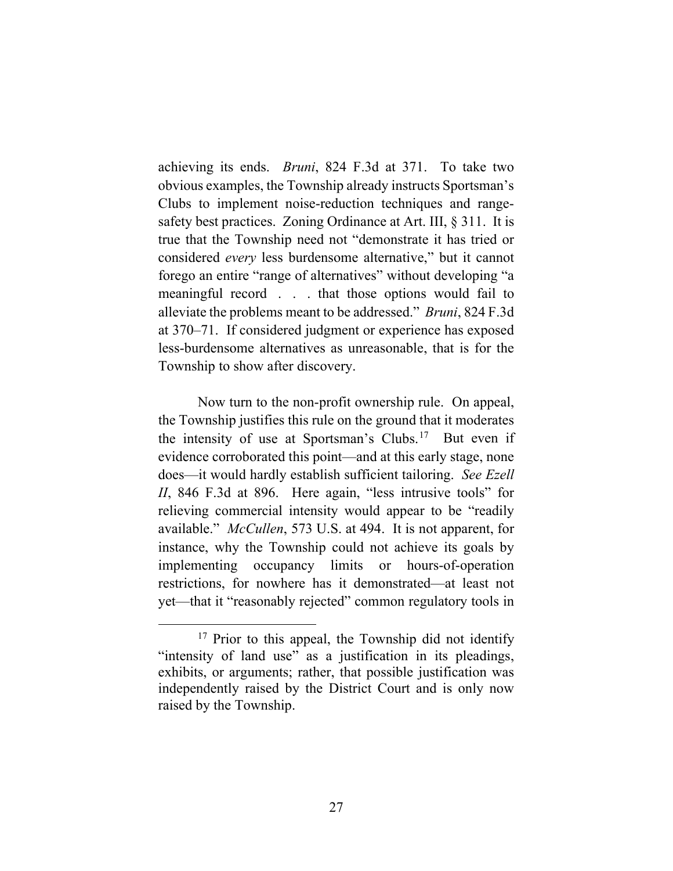achieving its ends. *Bruni*, 824 F.3d at 371. To take two obvious examples, the Township already instructs Sportsman's Clubs to implement noise-reduction techniques and rangesafety best practices. Zoning Ordinance at Art. III, § 311. It is true that the Township need not "demonstrate it has tried or considered *every* less burdensome alternative," but it cannot forego an entire "range of alternatives" without developing "a meaningful record . . . that those options would fail to alleviate the problems meant to be addressed." *Bruni*, 824 F.3d at 370–71. If considered judgment or experience has exposed less-burdensome alternatives as unreasonable, that is for the Township to show after discovery.

Now turn to the non-profit ownership rule. On appeal, the Township justifies this rule on the ground that it moderates the intensity of use at Sportsman's Clubs.<sup>[17](#page-27-0)</sup> But even if evidence corroborated this point—and at this early stage, none does—it would hardly establish sufficient tailoring. *See Ezell II*, 846 F.3d at 896. Here again, "less intrusive tools" for relieving commercial intensity would appear to be "readily available." *McCullen*, 573 U.S. at 494. It is not apparent, for instance, why the Township could not achieve its goals by implementing occupancy limits or hours-of-operation restrictions, for nowhere has it demonstrated—at least not yet—that it "reasonably rejected" common regulatory tools in

<span id="page-27-0"></span><sup>&</sup>lt;sup>17</sup> Prior to this appeal, the Township did not identify "intensity of land use" as a justification in its pleadings, exhibits, or arguments; rather, that possible justification was independently raised by the District Court and is only now raised by the Township.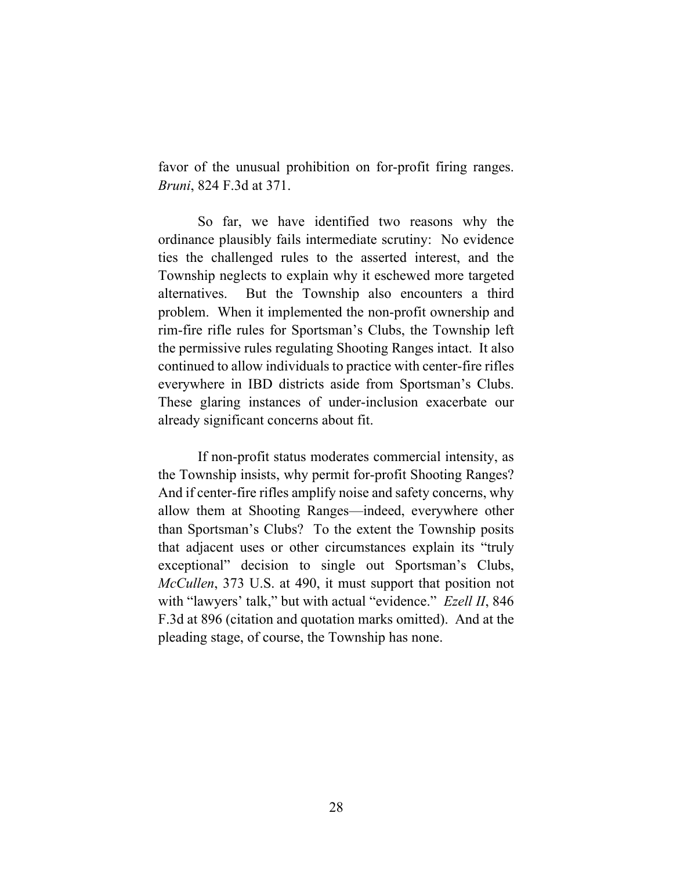favor of the unusual prohibition on for-profit firing ranges. *Bruni*, 824 F.3d at 371.

So far, we have identified two reasons why the ordinance plausibly fails intermediate scrutiny: No evidence ties the challenged rules to the asserted interest, and the Township neglects to explain why it eschewed more targeted alternatives. But the Township also encounters a third problem. When it implemented the non-profit ownership and rim-fire rifle rules for Sportsman's Clubs, the Township left the permissive rules regulating Shooting Ranges intact. It also continued to allow individuals to practice with center-fire rifles everywhere in IBD districts aside from Sportsman's Clubs. These glaring instances of under-inclusion exacerbate our already significant concerns about fit.

If non-profit status moderates commercial intensity, as the Township insists, why permit for-profit Shooting Ranges? And if center-fire rifles amplify noise and safety concerns, why allow them at Shooting Ranges—indeed, everywhere other than Sportsman's Clubs? To the extent the Township posits that adjacent uses or other circumstances explain its "truly exceptional" decision to single out Sportsman's Clubs, *McCullen*, 373 U.S. at 490, it must support that position not with "lawyers' talk," but with actual "evidence." *Ezell II*, 846 F.3d at 896 (citation and quotation marks omitted). And at the pleading stage, of course, the Township has none.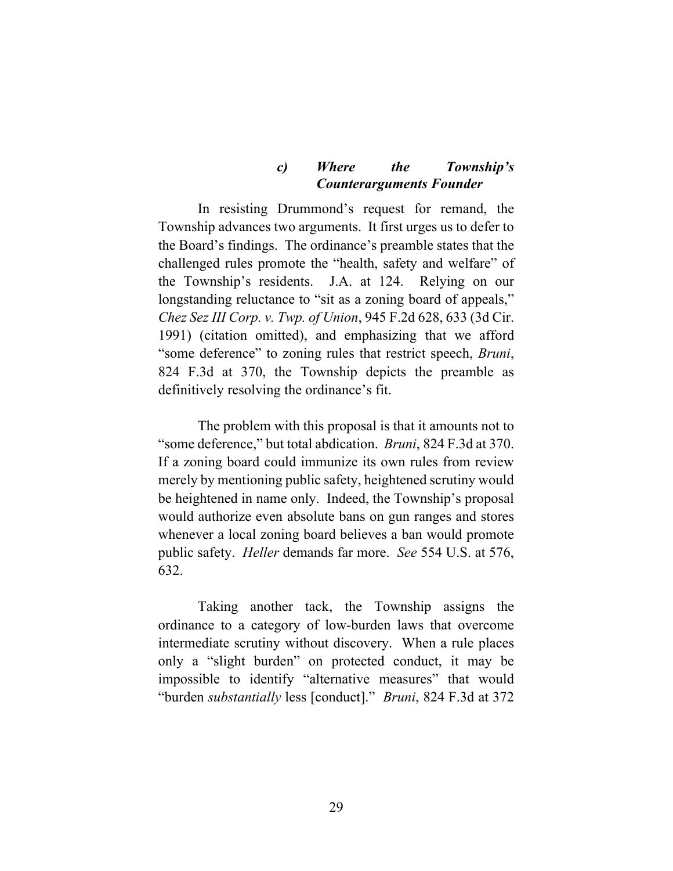# *c) Where the Township's Counterarguments Founder*

In resisting Drummond's request for remand, the Township advances two arguments. It first urges us to defer to the Board's findings. The ordinance's preamble states that the challenged rules promote the "health, safety and welfare" of the Township's residents. J.A. at 124. Relying on our longstanding reluctance to "sit as a zoning board of appeals," *Chez Sez III Corp. v. Twp. of Union*, 945 F.2d 628, 633 (3d Cir. 1991) (citation omitted), and emphasizing that we afford "some deference" to zoning rules that restrict speech, *Bruni*, 824 F.3d at 370, the Township depicts the preamble as definitively resolving the ordinance's fit.

The problem with this proposal is that it amounts not to "some deference," but total abdication. *Bruni*, 824 F.3d at 370. If a zoning board could immunize its own rules from review merely by mentioning public safety, heightened scrutiny would be heightened in name only. Indeed, the Township's proposal would authorize even absolute bans on gun ranges and stores whenever a local zoning board believes a ban would promote public safety. *Heller* demands far more. *See* 554 U.S. at 576, 632.

Taking another tack, the Township assigns the ordinance to a category of low-burden laws that overcome intermediate scrutiny without discovery. When a rule places only a "slight burden" on protected conduct, it may be impossible to identify "alternative measures" that would "burden *substantially* less [conduct]." *Bruni*, 824 F.3d at 372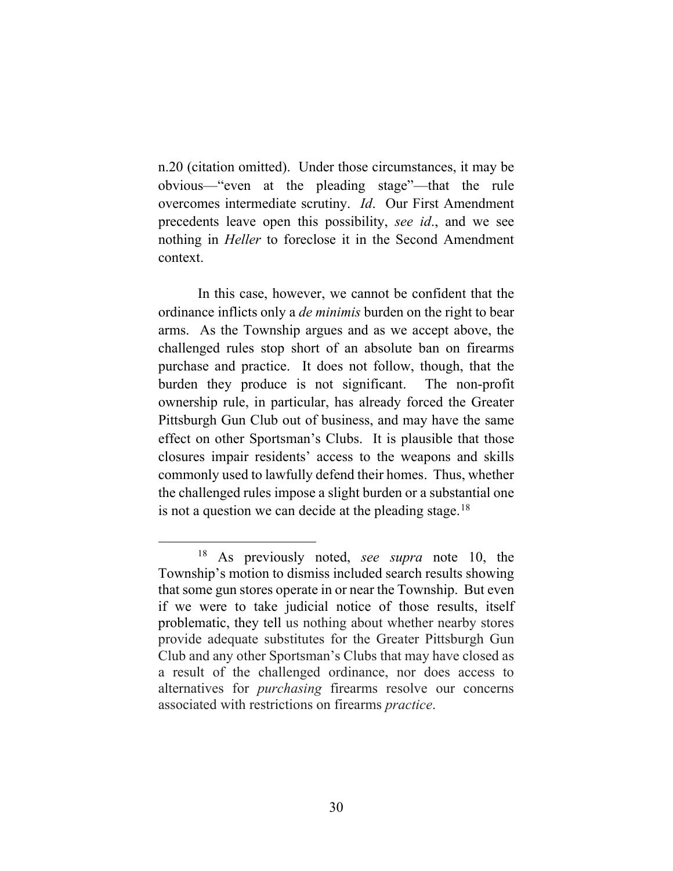n.20 (citation omitted). Under those circumstances, it may be obvious—"even at the pleading stage"—that the rule overcomes intermediate scrutiny. *Id*. Our First Amendment precedents leave open this possibility, *see id*., and we see nothing in *Heller* to foreclose it in the Second Amendment context.

In this case, however, we cannot be confident that the ordinance inflicts only a *de minimis* burden on the right to bear arms. As the Township argues and as we accept above, the challenged rules stop short of an absolute ban on firearms purchase and practice. It does not follow, though, that the burden they produce is not significant. The non-profit ownership rule, in particular, has already forced the Greater Pittsburgh Gun Club out of business, and may have the same effect on other Sportsman's Clubs. It is plausible that those closures impair residents' access to the weapons and skills commonly used to lawfully defend their homes. Thus, whether the challenged rules impose a slight burden or a substantial one is not a question we can decide at the pleading stage.<sup>[18](#page-30-0)</sup>

<span id="page-30-0"></span><sup>18</sup> As previously noted, *see supra* note 10, the Township's motion to dismiss included search results showing that some gun stores operate in or near the Township. But even if we were to take judicial notice of those results, itself problematic, they tell us nothing about whether nearby stores provide adequate substitutes for the Greater Pittsburgh Gun Club and any other Sportsman's Clubs that may have closed as a result of the challenged ordinance, nor does access to alternatives for *purchasing* firearms resolve our concerns associated with restrictions on firearms *practice*.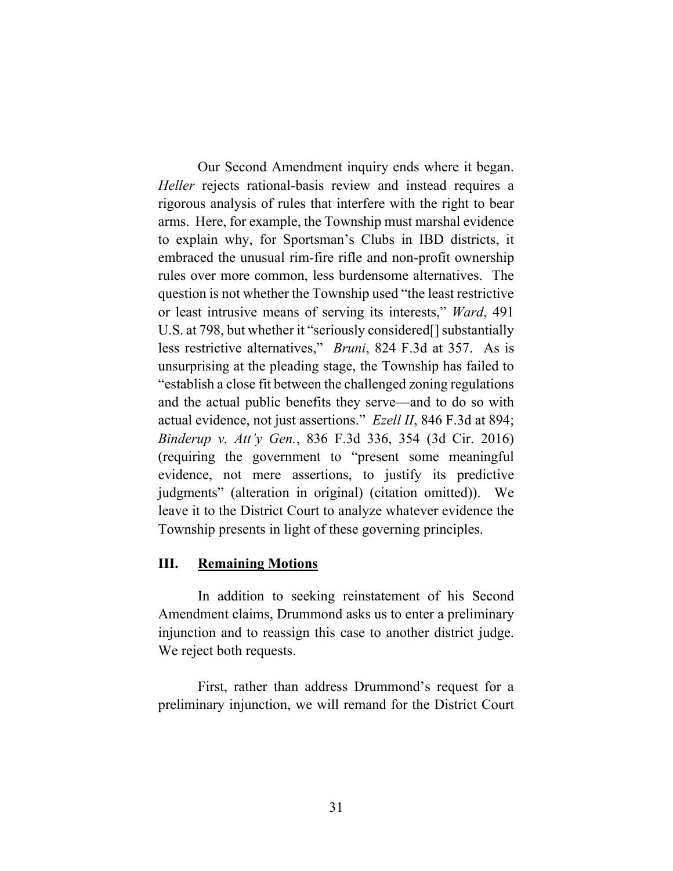Our Second Amendment inquiry ends where it began. *Heller* rejects rational-basis review and instead requires a rigorous analysis of rules that interfere with the right to bear arms. Here, for example, the Township must marshal evidence to explain why, for Sportsman's Clubs in IBD districts, it embraced the unusual rim-fire rifle and non-profit ownership rules over more common, less burdensome alternatives. The question is not whether the Township used "the least restrictive or least intrusive means of serving its interests," *Ward*, 491 U.S. at 798, but whether it "seriously considered[] substantially less restrictive alternatives," *Bruni*, 824 F.3d at 357. As is unsurprising at the pleading stage, the Township has failed to "establish a close fit between the challenged zoning regulations and the actual public benefits they serve—and to do so with actual evidence, not just assertions." *Ezell II*, 846 F.3d at 894; *Binderup v. Att'y Gen.*, 836 F.3d 336, 354 (3d Cir. 2016) (requiring the government to "present some meaningful evidence, not mere assertions, to justify its predictive judgments" (alteration in original) (citation omitted)). We leave it to the District Court to analyze whatever evidence the Township presents in light of these governing principles.

## **III. Remaining Motions**

In addition to seeking reinstatement of his Second Amendment claims, Drummond asks us to enter a preliminary injunction and to reassign this case to another district judge. We reject both requests.

First, rather than address Drummond's request for a preliminary injunction, we will remand for the District Court